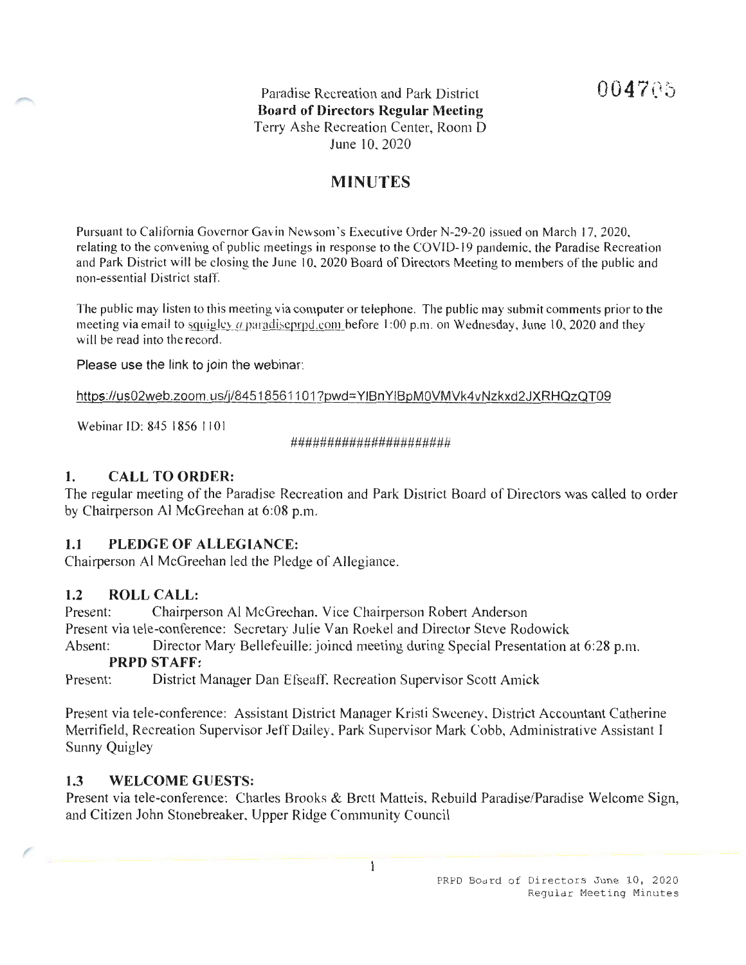Paradise Recreation and Park District **Board of Directors Regular Meeting**  Terry Ashe Recreation Center, Room D June 10. 2020

## **MINUTES**

Pursuant to California Governor Gavin Newsom 's Executive Order N-29-20 issued on March 17, 2020, relating to the convening of public meetings in response to the COVID-19 pandemic, the Paradise Recreation and Park District will be closing the June 10. 2020 Board of Directors Meeting to members of the public and non-essential District staff.

The public may listen to this meeting via computer or telephone. The public may submit comments prior to the meeting via email to squigley a paradiseprpd.com before 1:00 p.m. on Wednesday, June 10, 2020 and they will be read into the record.

Please use the link to join the webinar:

https://us02web.zoom.us/j/84518561101 ?pwd=YIBn YIBpM0VMVk4vNzkxd2JXRHQzQT09

Webinar ID: 845 1856 1101

######################

### **1. CALL TO ORDER:**

The regular meeting of the Paradise Recreation and Park District Board of Directors was called to order by Chairperson Al McGreehan at 6:08 p.m.

#### **1.1 PLEDGE OF ALLEGIANCE:**

Chairperson Al McGreehan led the Pledge of Allegiance.

#### **1.2 ROLL CALL:**

Present: Chairperson Al McGrechan. Vice Chairperson Robert Anderson Present via tele-conference: Secretary Julie Van Roekel and Director Steve Rodowick Absent: Director Mary Bellefeuille: joined meeting during Special Presentation at 6:28 p.m.

#### **PRPD STAFF:**

Present: District Manager Dan Efseaff, Recreation Supervisor Scott Amick

Present via tele-conference: Assistant District Manager Kristi Sweeney, District Accountant Catherine Merrifield, Recreation Supervisor Jeff Dailey. Park Supervisor Mark Cobb, Administrative Assistant I Sunny Quigley

#### **1.3 WELCOME GUESTS:**

Present via tele-conference: Charles Brooks & Brett Matteis, Rebuild Paradise/Paradise Welcome Sign, and Citizen John Stonebreaker. Upper Ridge Community Council

 $\mathbf{1}$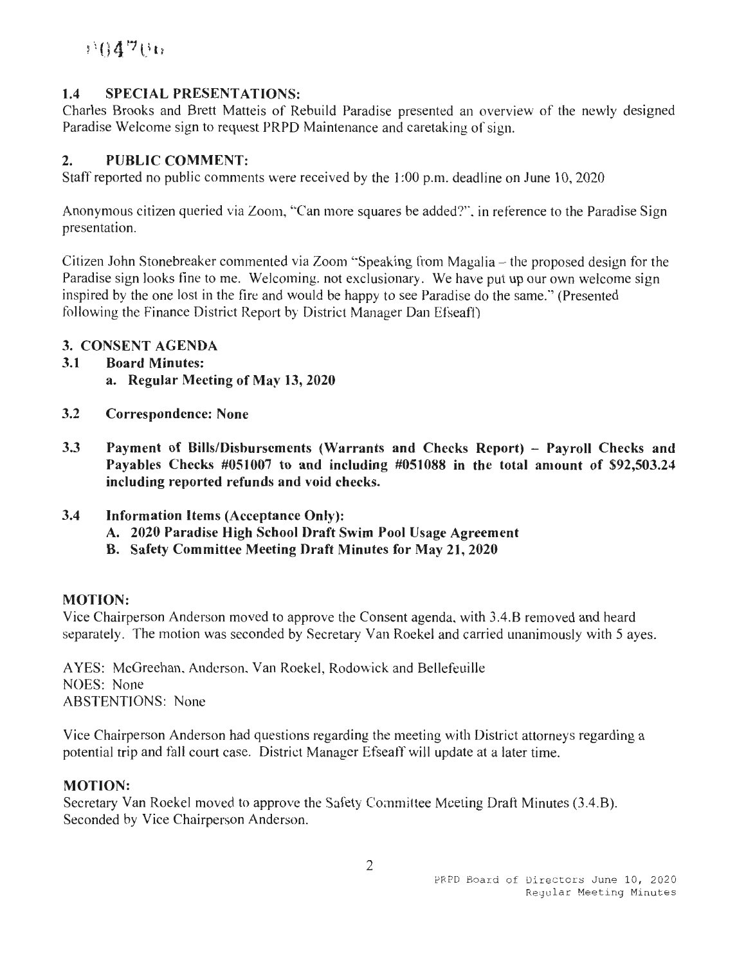# $5.04766$

## **1.4 SPECIAL PRESENTATIONS:**

Charles Brooks and Brett Matteis of Rebuild Paradise presented an overview of the newly designed Paradise Welcome sign to request PRPD Maintenance and caretaking of sign.

### **2. PUBLIC COMMENT:**

Staff reported no public comments were received by the 1 :00 p.m. deadline on June 10, 2020

Anonymous citizen queried via Zoom, ''Can more squares be added?'·. in reference to the Paradise Sign presentation.

Citizen John Stonebreaker commented via Zoom "Speaking from Magalia – the proposed design for the Paradise sign looks fine to me. Welcoming. not exclusionary. We have put up our own welcome sign inspired by the one lost in the fire and would be happy to see Paradise do the same."' (Presented following the Finance District Report by District Manager Dan Efseafl)

#### **3. CONSENT AGENDA**

- **3.1 Board Minutes:** 
	- **a. Regular Meeting of May 13, 2020**
- **3.2 Correspondence: None**
- **3.3 Payment of Bills/Disbursements (Warrants and Checks Report) - Payroll Checks and Payables Checks #051007 to and including #051088 in the total amount of \$92,503.24 including reported refunds and void checks.**
- **3.4 Information Items (Acceptance Only):** 
	- **A. 2020 Paradise High School Draft Swim Pool Usage Agreement**
	- **B. Safety Committee Meeting Draft Minutes for May 21, 2020**

#### **MOTION:**

Vice Chairperson Anderson moved to approve the Consent agenda. with 3.4.B removed and heard separately. The motion was seconded by Secretary Van Rockel and carried unanimously with 5 ayes.

A YES: McGreehan. Anderson. Yan Roekel, Rodowick and Bellefeuille NOES: None ABSTENTIONS: None

Vice Chairperson Anderson had questions regarding the meeting with District attorneys regarding a potential trip and fall court case. District Manager Efseaff will update at a later time.

#### **MOTION:**

Secretary Van Roekel moved to approve the Safety Committee Meeting Draft Minutes (3.4.B). Seconded by Vice Chairperson Anderson.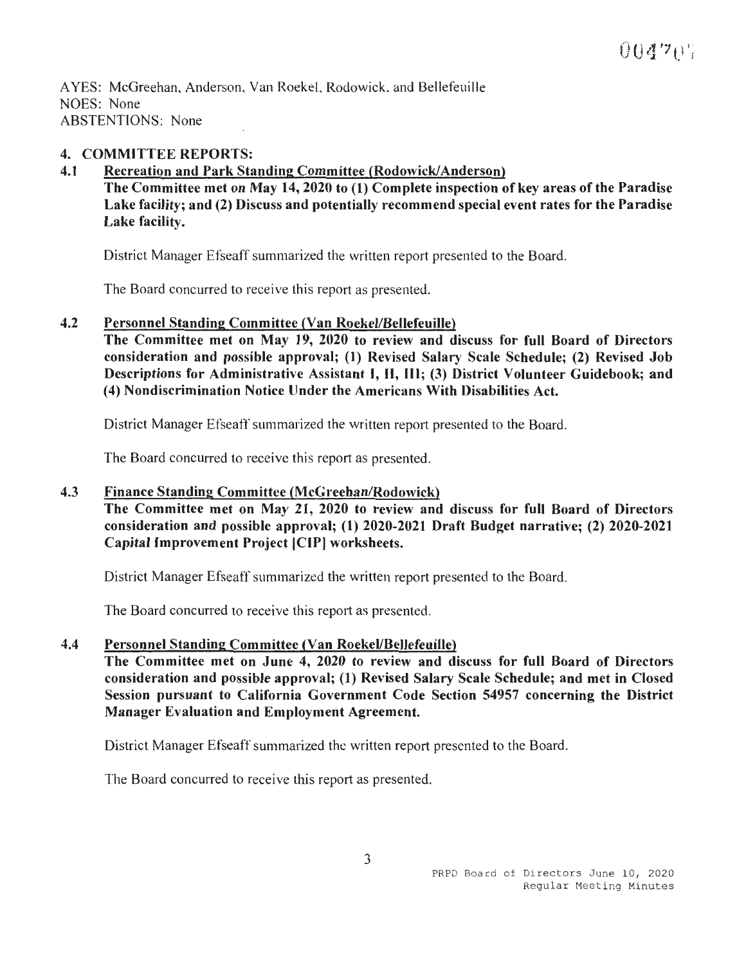AYES: McGreehan, Anderson, Van Roekel, Rodowick, and Bellefeuille NOES: None ABSTENTIONS: None

#### **4. COMMITTEE REPORTS:**

**4.1 Recreation and Park Standing Committee (Rodowick/Anderson)** 

**The Committee met on May 14, 2020 to (1) Complete inspection of key areas of the Paradise Lake facility; and (2) Discuss and potentially recommend special event rates for the Paradise Lake facility.** 

District Manager Efseaff summarized the written report presented to the Board.

The Board concurred to receive this report as presented.

**4.2 Personnel Standing Committee (Van Roekel/Bellefeuille)** 

**The Committee met on May 19, 2020 to review and discuss for full Board of Directors consideration and possible approval; (1) Revised Salary Scale Schedule; (2) Revised Job Descriptions for Administrative Assistant** I, II, **Ill; (3) District Volunteer Guidebook; and (4) Nondiscrimination Notice Under the Americans With Disabilities Act.** 

District Manager Efseaff summarized the written report presented to the Board.

The Board concurred to receive this report as presented.

#### **4.3 Finance Standing Committee (McGreehan/Rodowick)**

**The Committee met on May 21, 2020 to review and discuss for full Board of Directors consideration and possible approval; (1) 2020-2021 Draft Budget narrative; (2) 2020-2021 Capital Improvement Project ICIPI worksheets.** 

District Manager Efseaff summarized the written report presented to the Board.

The Board concurred to receive this report as presented.

**4.4 Personnel Standing Committee (Van Roekel/Bellefeuille)** 

**The Committee met on June 4, 2020 to review and discuss for full Board of Directors consideration and possible approval; (1) Revised Salary Scale Schedule; and met in Closed Session pursuant to California Government Code Section 54957 concerning the District Manager Evaluation and Employment Agreement.** 

District Manager Efseaff summarized the written report presented to the Board.

The Board concurred to receive this report as presented.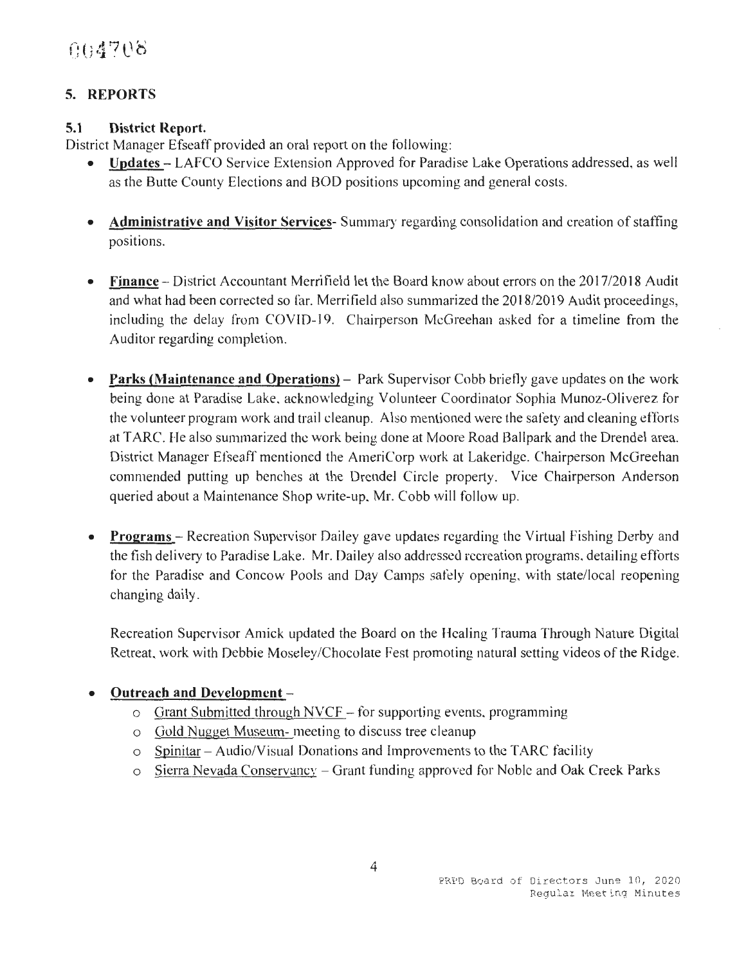## **5. REPORTS**

## **5.1 District Report.**

District Manager Efseaff provided an oral report on the following:

- **Updates**  LAFCO Service Extension Approved for Paradise Lake Operations addressed, as well as the Butte County Elections and BOD positions upcoming and general costs.
- **Administrative and Visitor Services-** Summary regarding consolidation and creation of staffing positions.
- **Finance** District Accountant Merrifield let the Board know about errors on the 2017/2018 Audit and what had been corrected so far. Merrifield also summarized the 2018/2019 Audit proceedings, including the delay from COYID-19. Chairperson McGreehan asked for a timeline from the Auditor regarding completion.
- **Parks (Maintenance and Operations)** Park Supervisor Cobb briefly gave updates on the work being done at Paradise Lake, acknowledging Volunteer Coordinator Sophia Munoz-Oliverez for the volunteer program work and trail cleanup. Also mentioned were the safety and cleaning efforts at T ARC. He also summarized the work being done at Moore Road Ballpark and the Drendel area. District Manager Efseaff mentioned the AmeriCorp work at Lakeridge. Chairperson McGreehan commended putting up benches at the Drendel Circle property. Vice Chairperson Anderson queried about a Maintenance Shop write-up. Mr. Cobb will follow up.
- **Programs** Recreation Supervisor Dailey gave updates regarding the Virtual Fishing Derby and the fish delivery to Paradise Lake. Mr. Dailey also addressed recreation programs. detailing efforts for the Paradise and Concow Pools and Day Camps safely opening, with state/local reopening changing daily.

Recreation Supervisor Amick updated the Board on the Healing Trauma Through Nature Digital Retreat. work with Debbie Moseley/Chocolate Fest promoting natural setting videos of the Ridge.

## • **Outreach and Development** -

- $\circ$  Grant Submitted through NVCF for supporting events, programming
- o Gold Nugget Museum- meeting to discuss tree cleanup
- $\circ$  Spinitar Audio/Visual Donations and Improvements to the TARC facility
- o Sierra Nevada Conservancv Grant funding approved for Noble and Oak Creek Parks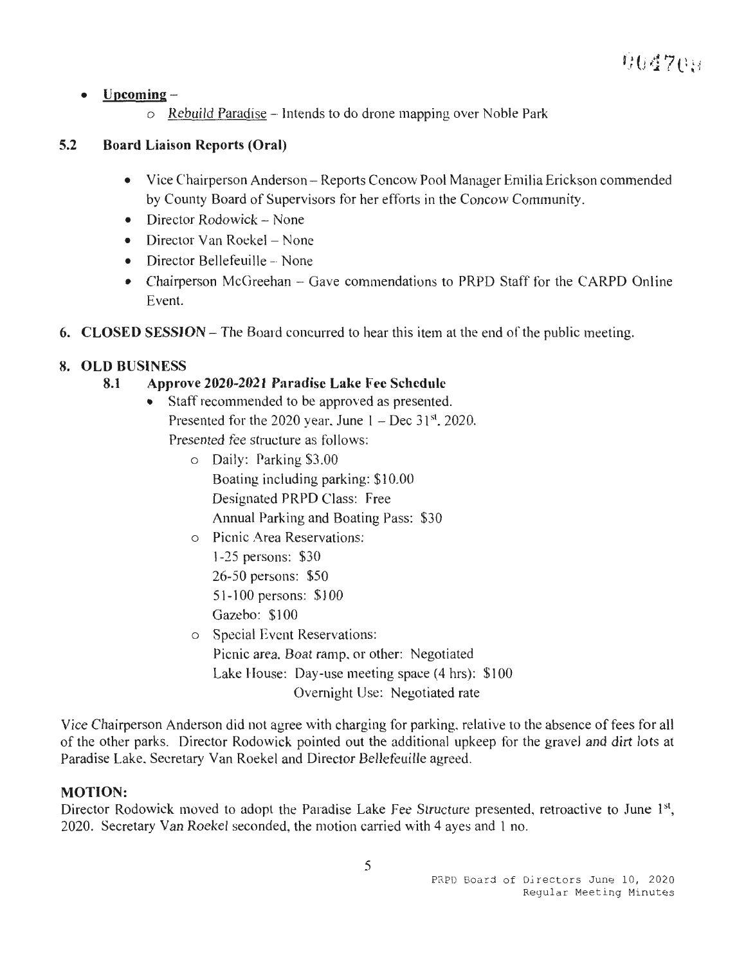### • **Upcoming-**

o Rebuild Paradise - Intends to do drone mapping over Noble Park

## **5.2 Board Liaison Reports (Oral)**

- Vice Chairperson Anderson- Reports Concow Pool Manager Emilia Erickson commended by County Board of Supervisors for her efforts in the Concow Community.
- Director Rodowick None
- Director Van Roekel None
- $\bullet$  Director Bellefeuille -- None
- Chairperson McGreehan Gave commendations to PRPD Staff for the CARPD Online Event.
- **6. CLOSED SESSION** The Board concurred to hear this item at the end of the public meeting.

## **8. OLD BUSINESS**

### **8.1 Approve 2020-2021 Paradise Lake Fee Schedule**

- Staff recommended to be approved as presented. Presented for the 2020 year, June  $1 - Dec 31<sup>st</sup>$ , 2020. Presented fee structure as follows:
	- o Daily: Parking \$3.00 Boating including parking: \$10.00 Designated PRPD Class: Free Annual Parking and Boating Pass: \$30
	- o Picnic Area Reservations: 1-25 persons: \$30
		- 26-50 persons: \$50 51-100 persons: \$100 Gazebo: \$100
	- o Special Event Reservations: Picnic area. Boat ramp, or other: Negotiated Lake House: Day-use meeting space  $(4 \text{ hrs})$ : \$100 Overnight Use: Negotiated rate

Vice Chairperson Anderson did not agree with charging for parking, relative to the absence of fees for all of the other parks. Director Rodowick pointed out the additional upkeep for the gravel and dirt lots at Paradise Lake. Secretary Van Roekel and Director Bellefeuille agreed.

#### **MOTION:**

Director Rodowick moved to adopt the Paradise Lake Fee Structure presented, retroactive to June 1<sup>st</sup>, 2020. Secretary Van Roekel seconded, the motion carried with 4 ayes and 1 no.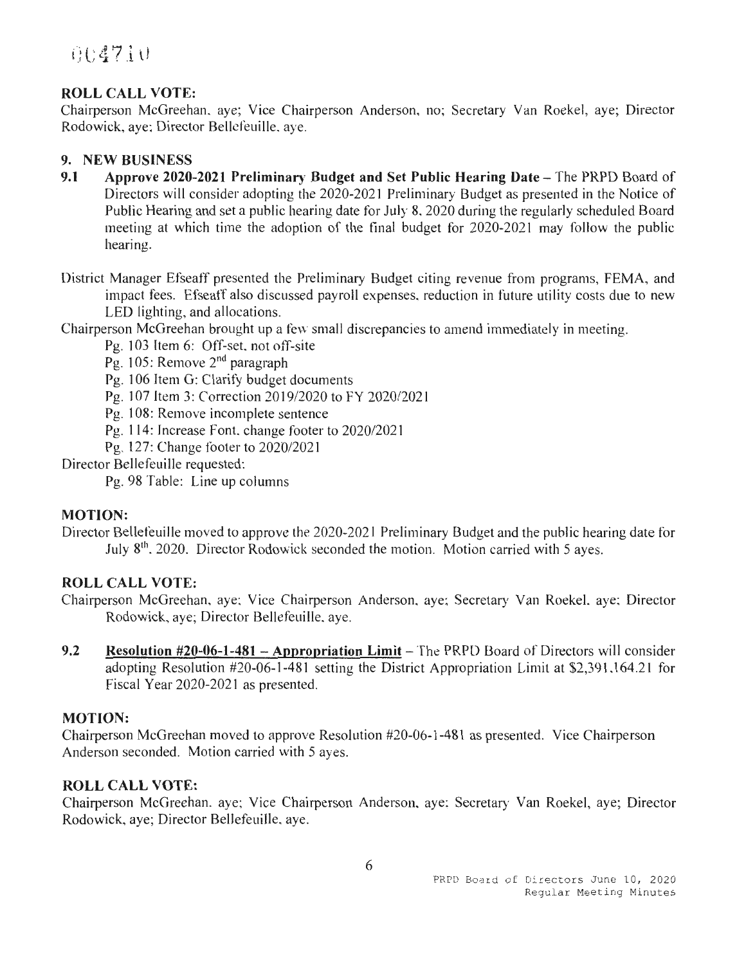### **ROLL CALL VOTE:**

Chairperson McGreehan. aye; Vice Chairperson Anderson, no; Secretary Van Roekel, aye; Director Rodowick, aye; Director Bellefeuille. aye.

#### **9. NEW BUSINESS**

- **9.1** Approve 2020-2021 Preliminary Budget and Set Public Hearing Date The PRPD Board of Directors will consider adopting the 2020-2021 Preliminary Budget as presented in the Notice of Public Hearing and set a public hearing date for July 8. 2020 during the regularly scheduled Board meeting at which time the adoption of the final budget for 2020-2021 may follow the public hearing.
- District Manager Efseaff presented the Preliminary Budget citing revenue from programs, FEMA, and impact fees. Efseaff also discussed payroll expenses, reduction in future utility costs due to new LED lighting, and allocations.

Chairperson McGreehan brought up a few small discrepancies to amend immediately in meeting.

Pg. 103 Item 6: Off-set, not off-site

Pg. 105: Remove 2nd paragraph

Pg. 106 Item G: Clarify budget documents

Pg. 107 Item 3: Correction 2019/2020 to FY 2020/2021

Pg. 108: Remove incomplete sentence

Pg. l 14: Increase Font. change footer to 2020/2021

Pg. 127: Change footer to 2020/2021

Director Bellefeuille requested:

Pg. 98 Table: Line up columns

#### **MOTION:**

Director Bellefeuille moved to approve the 2020-2021 Preliminary Budget and the public hearing date for July 8<sup>th</sup>, 2020. Director Rodowick seconded the motion. Motion carried with 5 ayes.

#### **ROLL CALL VOTE:**

Chairperson McGreehan, aye: Vice Chairperson Anderson, aye; Secretary Van RoekeL aye: Director Rodowick, aye; Director Bellefeuille. aye.

**9.2** Resolution #20-06-1-481 – Appropriation Limit – The PRPD Board of Directors will consider adopting Resolution #20-06-1-481 setting the District Appropriation Limit at \$2,391,164.21 for Fiscal Year 2020-2021 as presented.

#### **MOTION:**

Chairperson McGreehan moved to approve Resolution #20-06-1-481 as presented. Vice Chairperson Anderson seconded. Motion carried with 5 ayes.

#### **ROLL CALL VOTE:**

Chairperson McGreehan. aye; Vice Chairperson Anderson. aye; Secretary Van Roekel, aye; Director Rodowick, aye; Director Bellefeuille. aye.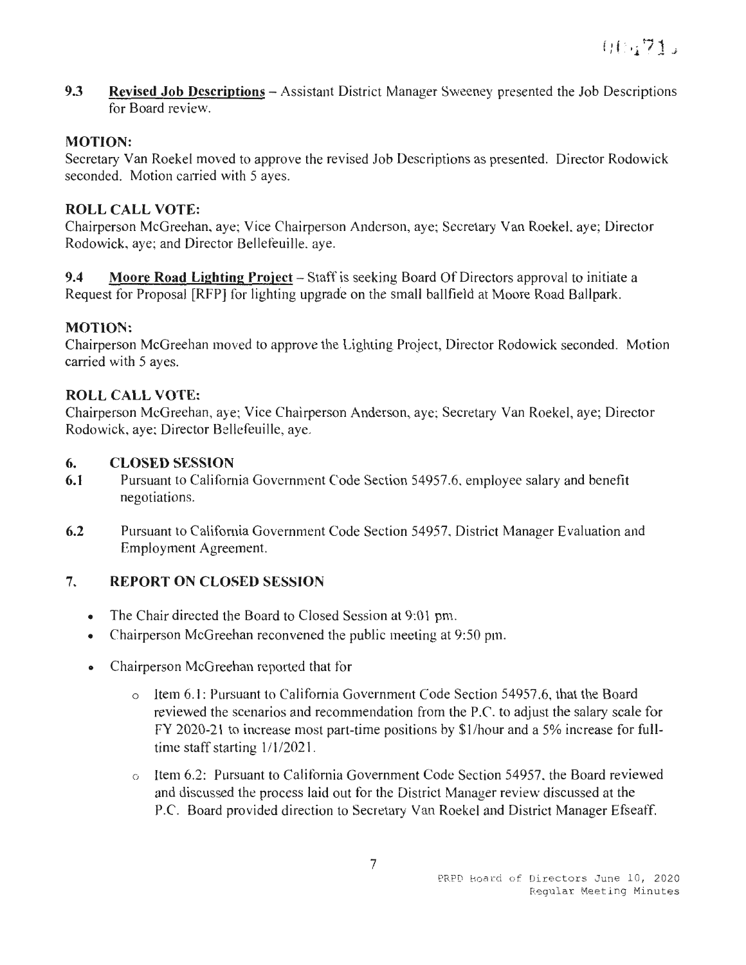**9.3 Revised Job Descriptions** - Assistant District Manager Sweeney presented the Job Descriptions for Board review.

### **MOTION:**

Secretary Van Roekel moved to approve the revised Job Descriptions as presented. Director Rodowick seconded. Motion carried with 5 ayes.

### **ROLL CALL VOTE:**

Chairperson McGreehan, aye; Vice Chairperson Anderson, aye; Secretary Van Roekel. aye; Director Rodowick, aye; and Director Bellefeuille. aye.

**9.4 Moore Road Lighting Project** – Staff is seeking Board Of Directors approval to initiate a Request for Proposal [RFP] for lighting upgrade on the small ballfield at Moore Road Ballpark.

### **MOTION:**

Chairperson McGreehan moved to approve the Lighting Project, Director Rodowick seconded. Motion carried with 5 ayes.

#### **ROLL CALL VOTE:**

Chairperson McGreehan, aye; Vice Chairperson Anderson, aye; Secretary Van Roekel, aye; Director Rodowick, aye: Director Bellefeuille, aye.

#### **6. CLOSED SESSION**

- **6.1** Pursuant to California Government Code Section 54957 .6. employee salary and benefit negotiations.
- **6.2** Pursuant to California Government Code Section 54957, District Manager Evaluation and Employment Agreement.

## **7. REPORT ON CLOSED SESSION**

- The Chair directed the Board to Closed Session at 9:01 pm.
- Chairperson McGreehan reconvened the public meeting at 9:50 pm.
- Chairperson McGreehan reported that for
	- o Item 6.1: Pursuant to California Government Code Section 54957.6, that the Board reviewed the scenarios and recommendation from the P.C. to adjust the salary scale for FY 2020-21 to increase most part-time positions by \$ I/hour and a 5% increase for fulltime staff starting  $1/1/2021$ .
	- o Item 6.2: Pursuant to California Government Code Section 54957. the Board reviewed and discussed the process laid out for the District Manager review discussed at the P.C. Board provided direction to Secretary Van Roekel and District Manager Efseaff.